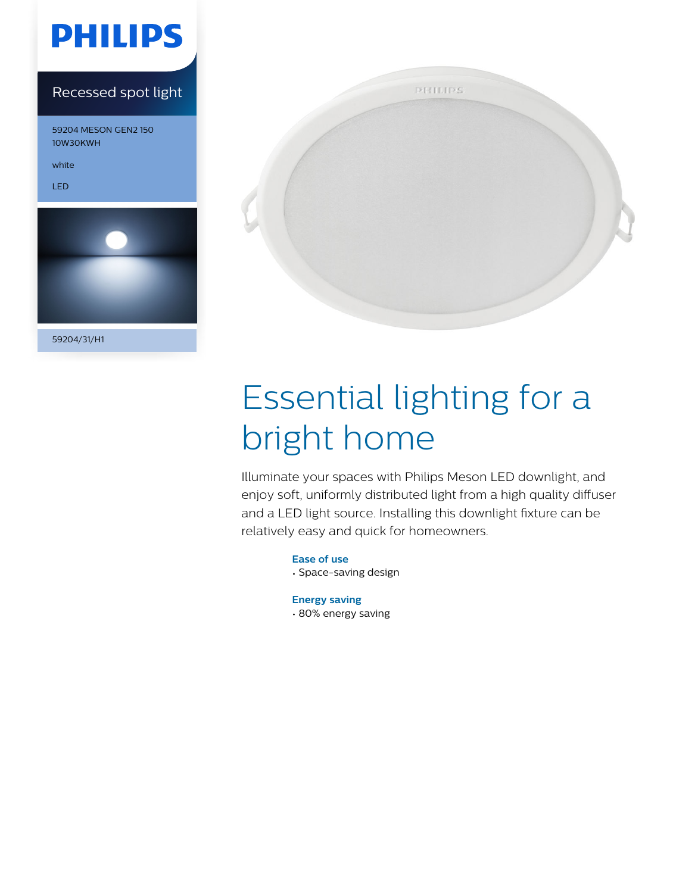

### Recessed spot light

59204 MESON GEN2 150 10W30KWH

white

LED



59204/31/H1



# Essential lighting for a bright home

Illuminate your spaces with Philips Meson LED downlight, and enjoy soft, uniformly distributed light from a high quality diffuser and a LED light source. Installing this downlight fixture can be relatively easy and quick for homeowners.

> **Ease of use** • Space-saving design

**Energy saving** • 80% energy saving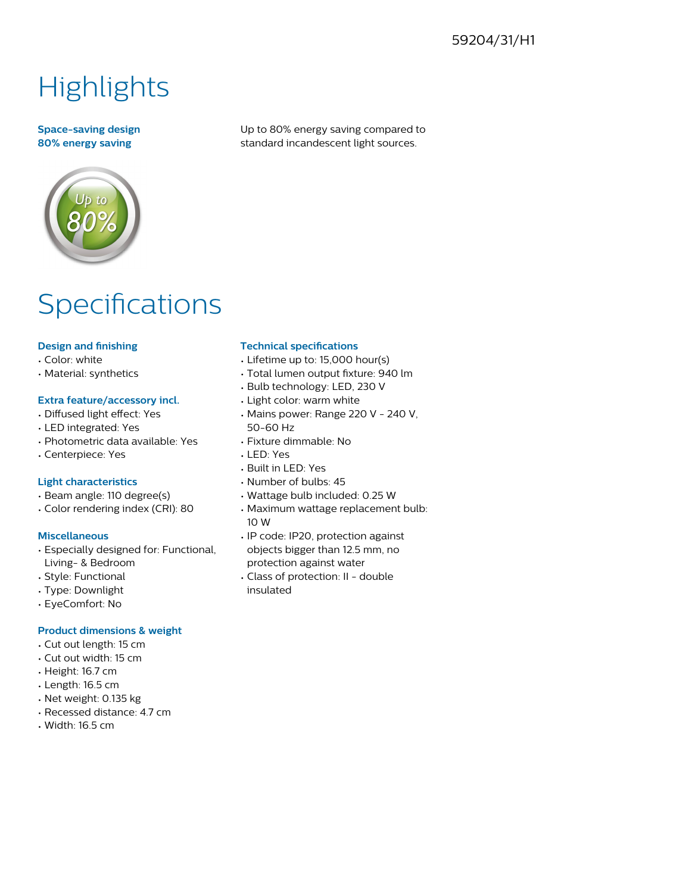### 59204/31/H1

# **Highlights**

#### **Space-saving design 80% energy saving**

Up to 80% energy saving compared to standard incandescent light sources.

## **Specifications**

#### **Design and finishing**

- Color: white
- Material: synthetics

#### **Extra feature/accessory incl.**

- Diffused light effect: Yes
- LED integrated: Yes
- Photometric data available: Yes
- Centerpiece: Yes

#### **Light characteristics**

- Beam angle: 110 degree(s)
- Color rendering index (CRI): 80

#### **Miscellaneous**

- Especially designed for: Functional, Living- & Bedroom
- Style: Functional
- Type: Downlight
- EyeComfort: No

#### **Product dimensions & weight**

- Cut out length: 15 cm
- Cut out width: 15 cm
- Height: 16.7 cm
- Length: 16.5 cm
- Net weight: 0.135 kg
- Recessed distance: 4.7 cm
- Width: 16.5 cm

#### **Technical specifications**

- Lifetime up to: 15,000 hour(s)
- Total lumen output fixture: 940 lm
- Bulb technology: LED, 230 V
- Light color: warm white
- Mains power: Range 220 V 240 V, 50-60 Hz
- Fixture dimmable: No
- LED: Yes
- Built in LED: Yes
- Number of bulbs: 45
- Wattage bulb included: 0.25 W
- Maximum wattage replacement bulb: 10 W
- IP code: IP20, protection against objects bigger than 12.5 mm, no protection against water
- Class of protection: II double insulated